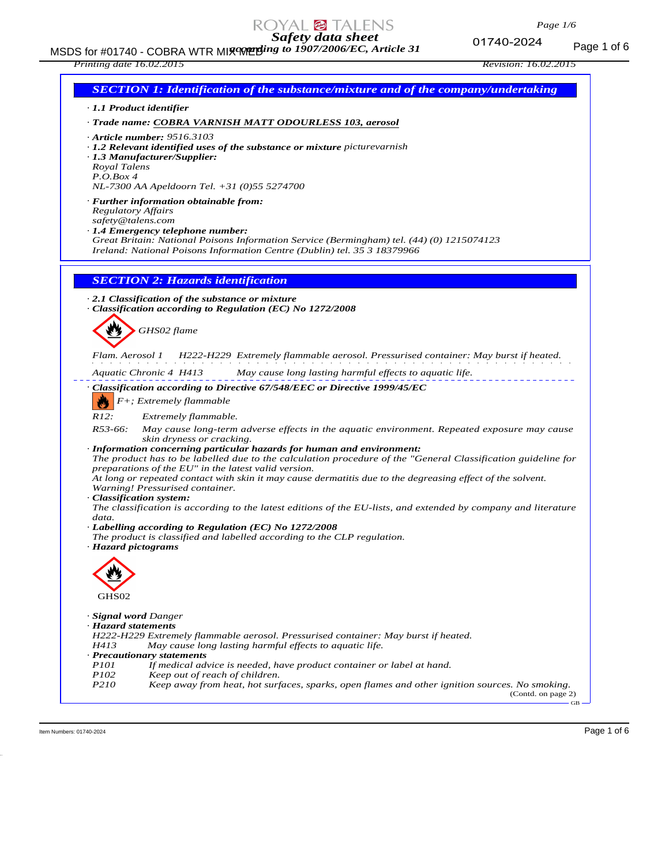MSDS for #01740 - COBRA WTR MIX WE MIX to 1907/2006/EC, Article 31 *according to 1907/2006/EC, Article 31*

### *Printing date 16.02.2015 Revision: 16.02.2015*

| · 1.1 Product identifier  |                                                                                                                                                                       |
|---------------------------|-----------------------------------------------------------------------------------------------------------------------------------------------------------------------|
|                           | · Trade name: COBRA VARNISH MATT ODOURLESS 103, aerosol                                                                                                               |
|                           | $\cdot$ Article number: 9516.3103                                                                                                                                     |
|                           | $\cdot$ 1.2 Relevant identified uses of the substance or mixture picture varnish                                                                                      |
|                           | $\cdot$ 1.3 Manufacturer/Supplier:                                                                                                                                    |
| Royal Talens              |                                                                                                                                                                       |
| P. O. Box 4               | NL-7300 AA Apeldoorn Tel. +31 (0)55 5274700                                                                                                                           |
|                           |                                                                                                                                                                       |
| <b>Regulatory Affairs</b> | · Further information obtainable from:                                                                                                                                |
| safety@talens.com         |                                                                                                                                                                       |
|                           | $\cdot$ 1.4 Emergency telephone number:                                                                                                                               |
|                           | Great Britain: National Poisons Information Service (Bermingham) tel. (44) (0) 1215074123<br>Ireland: National Poisons Information Centre (Dublin) tel. 35 3 18379966 |
|                           |                                                                                                                                                                       |
|                           |                                                                                                                                                                       |
|                           | <b>SECTION 2: Hazards identification</b>                                                                                                                              |
|                           | 2.1 Classification of the substance or mixture                                                                                                                        |
|                           | · Classification according to Regulation (EC) No 1272/2008                                                                                                            |
|                           |                                                                                                                                                                       |
|                           | GHS02 flame                                                                                                                                                           |
|                           |                                                                                                                                                                       |
| Flam. Aerosol 1           | H222-H229 Extremely flammable aerosol. Pressurised container: May burst if heated.                                                                                    |
|                           | Aquatic Chronic 4 H413<br>May cause long lasting harmful effects to aquatic life.                                                                                     |
|                           | · Classification according to Directive 67/548/EEC or Directive 1999/45/EC                                                                                            |
| T.V.                      | F+; Extremely flammable                                                                                                                                               |
| R12:                      |                                                                                                                                                                       |
| $R53-66:$                 | Extremely flammable.<br>May cause long-term adverse effects in the aquatic environment. Repeated exposure may cause                                                   |
|                           | skin dryness or cracking.                                                                                                                                             |
|                           | · Information concerning particular hazards for human and environment:                                                                                                |
|                           | The product has to be labelled due to the calculation procedure of the "General Classification guideline for                                                          |
|                           | preparations of the EU" in the latest valid version.<br>At long or repeated contact with skin it may cause dermatitis due to the degreasing effect of the solvent.    |
|                           | Warning! Pressurised container.                                                                                                                                       |
| · Classification system:  |                                                                                                                                                                       |
|                           | The classification is according to the latest editions of the EU-lists, and extended by company and literature                                                        |
| data.                     |                                                                                                                                                                       |
|                           | · Labelling according to Regulation (EC) No 1272/2008<br>The product is classified and labelled according to the CLP regulation.                                      |
| · Hazard pictograms       |                                                                                                                                                                       |
|                           |                                                                                                                                                                       |
|                           |                                                                                                                                                                       |
|                           |                                                                                                                                                                       |
| GHS02                     |                                                                                                                                                                       |
| · Signal word Danger      |                                                                                                                                                                       |
| · Hazard statements       |                                                                                                                                                                       |
|                           | H222-H229 Extremely flammable aerosol. Pressurised container: May burst if heated.                                                                                    |
| H413                      | May cause long lasting harmful effects to aquatic life.                                                                                                               |
| <i>P101</i>               | · Precautionary statements<br>If medical advice is needed, have product container or label at hand.                                                                   |
| P102                      | Keep out of reach of children.                                                                                                                                        |
| P210                      | Keep away from heat, hot surfaces, sparks, open flames and other ignition sources. No smoking.                                                                        |
|                           | (Contd. on page 2)                                                                                                                                                    |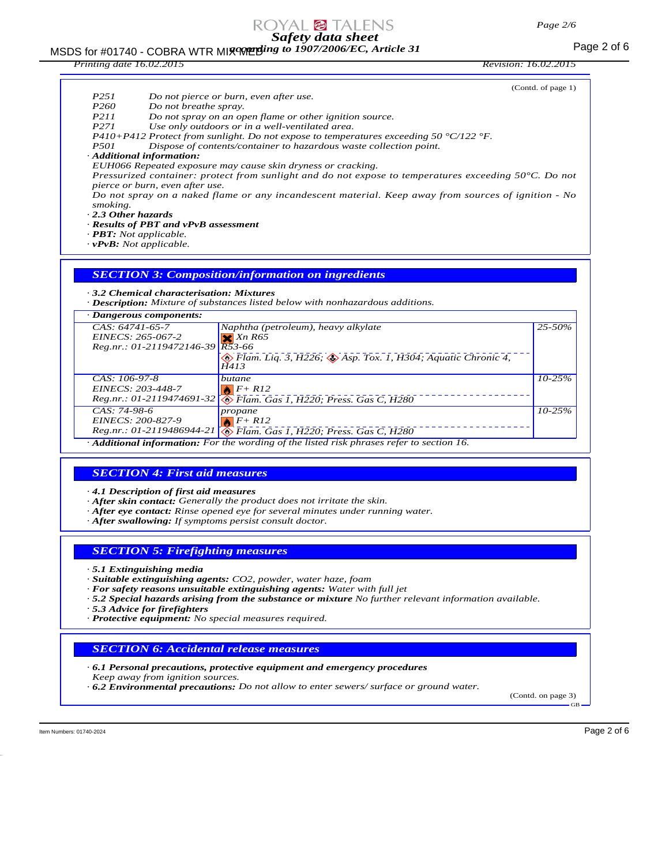# MSDS for #01740 - COBRA WTR MI**x we ding to 1907/2006/EC, Article 31** Page 2 of 6

| Printing date 16.02.2015 |  |
|--------------------------|--|

*Printing date 16.02.2015 Revision: 16.02.2015*

| P251<br>P <sub>260</sub><br>Do not breathe spray.<br><i>P211</i><br>P <sub>271</sub><br><i>P501</i><br>· Additional information:<br>pierce or burn, even after use.<br>smoking.<br>2.3 Other hazards<br>· Results of PBT and vPvB assessment<br>$\cdot$ <b>PBT</b> : Not applicable.<br>$\cdot v$ PvB: Not applicable. | Do not pierce or burn, even after use.<br>Do not spray on an open flame or other ignition source.<br>Use only outdoors or in a well-ventilated area.<br>P410+P412 Protect from sunlight. Do not expose to temperatures exceeding 50 $\degree$ C/122 $\degree$ F.<br>Dispose of contents/container to hazardous waste collection point.<br>EUH066 Repeated exposure may cause skin dryness or cracking.<br>Pressurized container: protect from sunlight and do not expose to temperatures exceeding $50^{\circ}$ C. Do not<br>Do not spray on a naked flame or any incandescent material. Keep away from sources of ignition - No | (Contd. of page 1) |
|------------------------------------------------------------------------------------------------------------------------------------------------------------------------------------------------------------------------------------------------------------------------------------------------------------------------|----------------------------------------------------------------------------------------------------------------------------------------------------------------------------------------------------------------------------------------------------------------------------------------------------------------------------------------------------------------------------------------------------------------------------------------------------------------------------------------------------------------------------------------------------------------------------------------------------------------------------------|--------------------|
| 3.2 Chemical characterisation: Mixtures                                                                                                                                                                                                                                                                                | <b>SECTION 3: Composition/information on ingredients</b><br>· Description: Mixture of substances listed below with nonhazardous additions.                                                                                                                                                                                                                                                                                                                                                                                                                                                                                       |                    |
| · Dangerous components:                                                                                                                                                                                                                                                                                                |                                                                                                                                                                                                                                                                                                                                                                                                                                                                                                                                                                                                                                  |                    |
| $CAS: 64741-65-7$<br>EINECS: 265-067-2<br>Reg.nr.: 01-2119472146-39                                                                                                                                                                                                                                                    | Naphtha (petroleum), heavy alkylate<br>$X$ Xn R65<br>$R\overline{5}3-66$<br>$\otimes$ Flam. Liq. 3, H226; $\otimes$ Asp. Tox. 1, H304; Aquatic Chronic 4,<br>H413                                                                                                                                                                                                                                                                                                                                                                                                                                                                | 25-50%             |
| CAS: 106-97-8<br>EINECS: 203-448-7                                                                                                                                                                                                                                                                                     | butane<br>$F + R12$<br>Reg.nr.: 01-2119474691-32 The Flam. Gas 1, H220; Press. Gas C, H280                                                                                                                                                                                                                                                                                                                                                                                                                                                                                                                                       | $10 - 25%$         |
| CAS: 74-98-6<br>EINECS: 200-827-9<br>$Reg.nr.: 01-2119486944-21$                                                                                                                                                                                                                                                       | propane<br>$F+R12$<br>Flam. Gas 1, H220; Press. Gas C, H280                                                                                                                                                                                                                                                                                                                                                                                                                                                                                                                                                                      | $10 - 25%$         |
|                                                                                                                                                                                                                                                                                                                        | Additional information: For the wording of the listed risk phrases refer to section 16.                                                                                                                                                                                                                                                                                                                                                                                                                                                                                                                                          |                    |
|                                                                                                                                                                                                                                                                                                                        |                                                                                                                                                                                                                                                                                                                                                                                                                                                                                                                                                                                                                                  |                    |
| <b>SECTION 4: First aid measures</b>                                                                                                                                                                                                                                                                                   |                                                                                                                                                                                                                                                                                                                                                                                                                                                                                                                                                                                                                                  |                    |
|                                                                                                                                                                                                                                                                                                                        |                                                                                                                                                                                                                                                                                                                                                                                                                                                                                                                                                                                                                                  |                    |
| 4.1 Description of first aid measures                                                                                                                                                                                                                                                                                  | $\cdot$ After skin contact: Generally the product does not irritate the skin.<br>$\cdot$ After eye contact: Rinse opened eye for several minutes under running water.                                                                                                                                                                                                                                                                                                                                                                                                                                                            |                    |
| · After swallowing: If symptoms persist consult doctor.                                                                                                                                                                                                                                                                |                                                                                                                                                                                                                                                                                                                                                                                                                                                                                                                                                                                                                                  |                    |

## *SECTION 5: Firefighting measures*

*· 5.1 Extinguishing media*

- *· Suitable extinguishing agents: CO2, powder, water haze, foam*
- *· For safety reasons unsuitable extinguishing agents: Water with full jet*
- *· 5.2 Special hazards arising from the substance or mixture No further relevant information available.*

*· 5.3 Advice for firefighters*

*· Protective equipment: No special measures required.*

## *SECTION 6: Accidental release measures*

- *· 6.1 Personal precautions, protective equipment and emergency procedures*
- *Keep away from ignition sources.*
- *· 6.2 Environmental precautions: Do not allow to enter sewers/ surface or ground water.*

(Contd. on page 3)

GB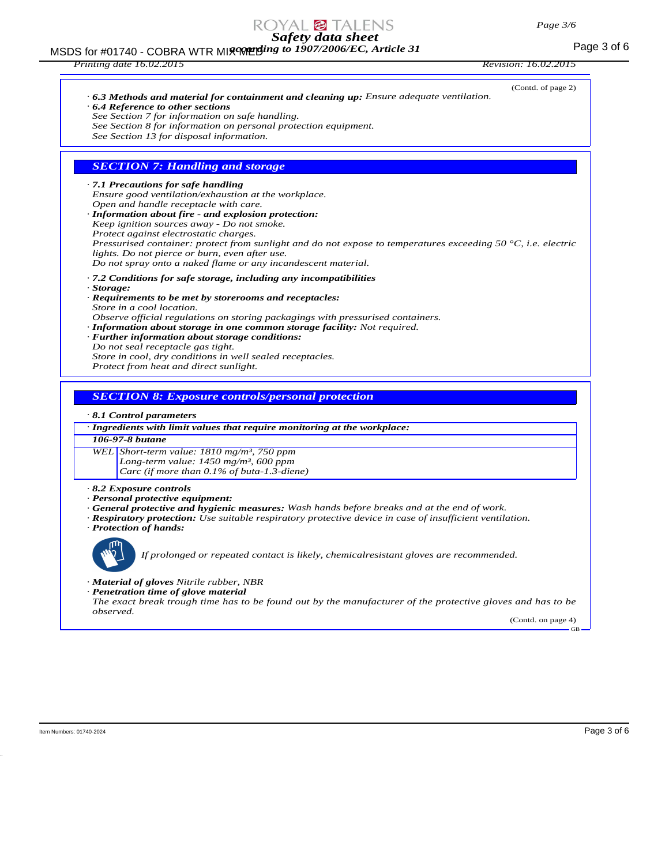# MSDS for #01740 - COBRA WTR MI**x we ding to 1907/2006/EC, Article 31** Page 3 of 6

| Printing date 16.02.2015                                                                                                                                                                                                                                                                                                                                                                                                                                                                                                                      | <i>Revision: 16.02.2015</i> |
|-----------------------------------------------------------------------------------------------------------------------------------------------------------------------------------------------------------------------------------------------------------------------------------------------------------------------------------------------------------------------------------------------------------------------------------------------------------------------------------------------------------------------------------------------|-----------------------------|
| $\cdot$ 6.3 Methods and material for containment and cleaning up: Ensure adequate ventilation.<br>$\cdot$ 6.4 Reference to other sections<br>See Section 7 for information on safe handling.<br>See Section 8 for information on personal protection equipment.<br>See Section 13 for disposal information.                                                                                                                                                                                                                                   | (Contd. of page 2)          |
| <b>SECTION 7: Handling and storage</b>                                                                                                                                                                                                                                                                                                                                                                                                                                                                                                        |                             |
| .7.1 Precautions for safe handling<br>Ensure good ventilation/exhaustion at the workplace.<br>Open and handle receptacle with care.<br>· Information about fire - and explosion protection:<br>Keep ignition sources away - Do not smoke.<br>Protect against electrostatic charges.<br>Pressurised container: protect from sunlight and do not expose to temperatures exceeding 50 $^{\circ}$ C, i.e. electric<br>lights. Do not pierce or burn, even after use.<br>Do not spray onto a naked flame or any incandescent material.             |                             |
| $\cdot$ 7.2 Conditions for safe storage, including any incompatibilities<br>· Storage:<br>· Requirements to be met by storerooms and receptacles:<br>Store in a cool location.<br>Observe official regulations on storing packagings with pressurised containers.<br>· Information about storage in one common storage facility: Not required.<br>· Further information about storage conditions:<br>Do not seal receptacle gas tight.<br>Store in cool, dry conditions in well sealed receptacles.<br>Protect from heat and direct sunlight. |                             |
| <b>SECTION 8: Exposure controls/personal protection</b>                                                                                                                                                                                                                                                                                                                                                                                                                                                                                       |                             |
| $\cdot$ 8.1 Control parameters                                                                                                                                                                                                                                                                                                                                                                                                                                                                                                                |                             |
| · Ingredients with limit values that require monitoring at the workplace:                                                                                                                                                                                                                                                                                                                                                                                                                                                                     |                             |
| 106-97-8 <i>butane</i>                                                                                                                                                                                                                                                                                                                                                                                                                                                                                                                        |                             |
| WEL Short-term value: 1810 mg/m <sup>3</sup> , 750 ppm                                                                                                                                                                                                                                                                                                                                                                                                                                                                                        |                             |

*Long-term value: 1450 mg/m³, 600 ppm*

*Carc (if more than 0.1% of buta-1.3-diene)*

*· 8.2 Exposure controls*

- *· Personal protective equipment:*
- *· General protective and hygienic measures: Wash hands before breaks and at the end of work.*
- *· Respiratory protection: Use suitable respiratory protective device in case of insufficient ventilation. · Protection of hands:*



*If prolonged or repeated contact is likely, chemicalresistant gloves are recommended.*

- *· Material of gloves Nitrile rubber, NBR*
- *· Penetration time of glove material*

*The exact break trough time has to be found out by the manufacturer of the protective gloves and has to be observed.*

(Contd. on page 4) GB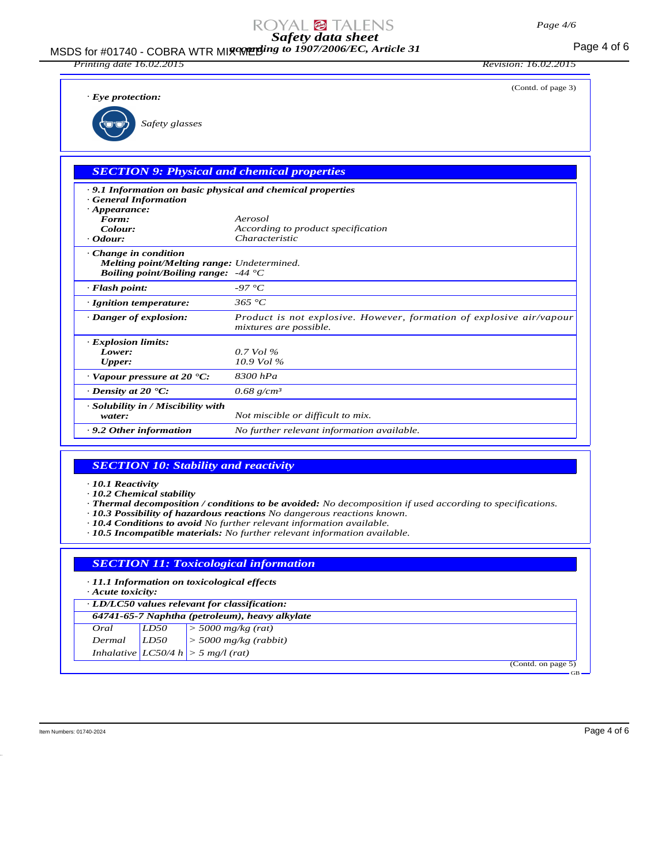### MSDS for #01740 - COBRA WTR MIX WE Mix to 1907/2006/EC, Article 31 *according to 1907/2006/EC, Article 31*

*Printing date 16.02.2015 Revision: 16.02.2015*

(Contd. of page 3)

*· Eye protection:*

*Safety glasses*

|  | <b>SECTION 9: Physical and chemical properties</b> |  |
|--|----------------------------------------------------|--|
|  |                                                    |  |

| $\cdot$ 9.1 Information on basic physical and chemical properties<br><b>General Information</b><br>$\cdot$ Appearance:           |                                                                                                |
|----------------------------------------------------------------------------------------------------------------------------------|------------------------------------------------------------------------------------------------|
| Form:                                                                                                                            | Aerosol                                                                                        |
| Colour:                                                                                                                          | According to product specification                                                             |
| $\cdot$ Odour:                                                                                                                   | <i>Characteristic</i>                                                                          |
| $\cdot$ Change in condition<br><b>Melting point/Melting range:</b> Undetermined.<br><i>Boiling point/Boiling range:</i> $-44$ °C |                                                                                                |
| $\cdot$ Flash point:                                                                                                             | -97 °C                                                                                         |
| · Ignition temperature:                                                                                                          | 365 °C                                                                                         |
| · Danger of explosion:                                                                                                           | Product is not explosive. However, formation of explosive air/vapour<br>mixtures are possible. |
| · Explosion limits:                                                                                                              |                                                                                                |
| Lower:                                                                                                                           | $0.7$ Vol %                                                                                    |
| <b>Upper:</b>                                                                                                                    | $10.9$ Vol %                                                                                   |
| $\cdot$ Vapour pressure at 20 $\cdot$ C:                                                                                         | 8300 hPa                                                                                       |
| $\cdot$ Density at 20 $\cdot$ C:                                                                                                 | $0.68$ g/cm <sup>3</sup>                                                                       |
| · Solubility in / Miscibility with<br>water:                                                                                     | Not miscible or difficult to mix.                                                              |
| $\cdot$ 9.2 Other information                                                                                                    | No further relevant information available.                                                     |

## *SECTION 10: Stability and reactivity*

*· 10.1 Reactivity*

- *· 10.2 Chemical stability*
- *· Thermal decomposition / conditions to be avoided: No decomposition if used according to specifications.*
- *· 10.3 Possibility of hazardous reactions No dangerous reactions known.*
- *· 10.4 Conditions to avoid No further relevant information available.*
- *· 10.5 Incompatible materials: No further relevant information available.*

|                         |      | <b>SECTION 11: Toxicological information</b>        |                    |
|-------------------------|------|-----------------------------------------------------|--------------------|
| $\cdot$ Acute toxicity: |      | $\cdot$ 11.1 Information on toxicological effects   |                    |
|                         |      | $\cdot$ LD/LC50 values relevant for classification: |                    |
|                         |      | 64741-65-7 Naphtha (petroleum), heavy alkylate      |                    |
| Oral                    | LD50 | $\vert$ > 5000 mg/kg (rat)                          |                    |
| Dermal                  | LD50 | $>$ 5000 mg/kg (rabbit)                             |                    |
|                         |      | Inhalative $ LC50/4 h  > 5 mg/l$ (rat)              |                    |
|                         |      |                                                     | (Contd. on page 5) |
|                         |      |                                                     | $GB -$             |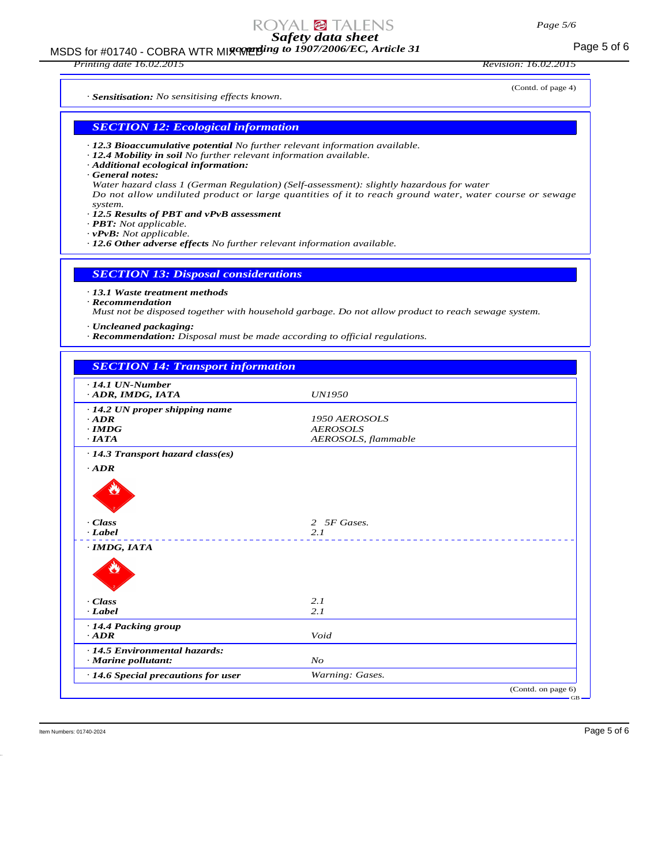# MSDS for #01740 - COBRA WTR MI**x we ding to 1907/2006/EC, Article 31** Page 5 of 6

*Printing date 16.02.2015 Revision: 16.02.2015*

(Contd. of page 4)

*· Sensitisation: No sensitising effects known.*

*SECTION 12: Ecological information*

- *· 12.3 Bioaccumulative potential No further relevant information available.*
- *· 12.4 Mobility in soil No further relevant information available.*
- *· Additional ecological information:*
- *· General notes:*
- *Water hazard class 1 (German Regulation) (Self-assessment): slightly hazardous for water Do not allow undiluted product or large quantities of it to reach ground water, water course or sewage system.*
- *· 12.5 Results of PBT and vPvB assessment*
- *· PBT: Not applicable.*
- *· vPvB: Not applicable.*
- *· 12.6 Other adverse effects No further relevant information available.*

*SECTION 13: Disposal considerations*

### *· 13.1 Waste treatment methods*

*· Recommendation*

*Must not be disposed together with household garbage. Do not allow product to reach sewage system.*

*· Uncleaned packaging:*

*· Recommendation: Disposal must be made according to official regulations.*

| $\cdot$ 14.1 UN-Number                               |                     |  |
|------------------------------------------------------|---------------------|--|
| ADR, IMDG, IATA                                      | <b>UN1950</b>       |  |
| $\cdot$ 14.2 UN proper shipping name                 |                     |  |
| $\cdot$ ADR                                          | 1950 AEROSOLS       |  |
| $\cdot$ IMDG                                         | <b>AEROSOLS</b>     |  |
| $\cdot$ IATA                                         | AEROSOLS, flammable |  |
| · 14.3 Transport hazard class(es)                    |                     |  |
| $-ADR$                                               |                     |  |
|                                                      |                     |  |
| · Class                                              | 2 5F Gases.         |  |
| $\cdot$ Label                                        | 2.1<br>__________   |  |
| $\cdot$ IMDG, IATA                                   |                     |  |
|                                                      |                     |  |
| · Class                                              | 2.1                 |  |
| $\cdot$ Label                                        | 2.1                 |  |
| · 14.4 Packing group                                 |                     |  |
| $\cdot$ ADR                                          | Void                |  |
| · 14.5 Environmental hazards:<br>· Marine pollutant: | N <sub>O</sub>      |  |
| $\cdot$ 14.6 Special precautions for user            | Warning: Gases.     |  |

Item Numbers: 01740-2024 **Page 5 of 6**